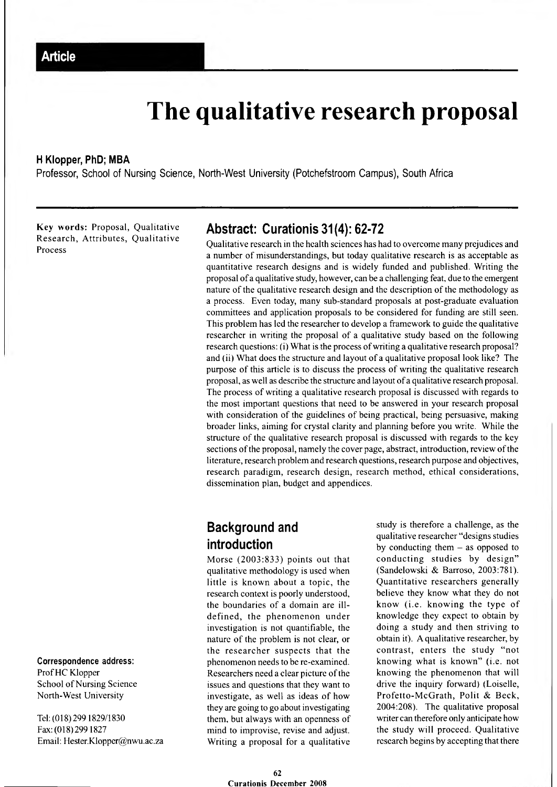# **The qualitative research proposal**

#### **H Klopper, PhD; MBA**

**Professor, School of Nursing Science, North-West University (Potchefstroom Campus), South Africa**

Key words: Proposal, Qualitative Research, Attributes, Qualitative Process

# **Correspondence address:**

Prof HC Klopper School of Nursing Science North-West University

Tel: (018) 299 1829/1830 Fax:(018)2991827 Email: [Hester.Klopper@nwu.ac.za](mailto:Hester.Klopper@nwu.ac.za)

# **Abstract: Curationis 31(4): 62-72**

Qualitative research in the health sciences has had to overcome many prejudices and a number of misunderstandings, but today qualitative research is as acceptable as quantitative research designs and is widely funded and published. Writing the proposal of a qualitative study, however, can be a challenging feat, due to the emergent nature of the qualitative research design and the description of the methodology as a process. Even today, many sub-standard proposals at post-graduate evaluation committees and application proposals to be considered for funding are still seen. This problem has led the researcher to develop a framework to guide the qualitative researcher in writing the proposal of a qualitative study based on the following research questions: (i) What is the process of writing a qualitative research proposal? and (ii) What does the structure and layout of a qualitative proposal look like? The purpose of this article is to discuss the process of writing the qualitative research proposal, as well as describe the structure and layout of a qualitative research proposal. The process of writing a qualitative research proposal is discussed with regards to the most important questions that need to be answered in your research proposal with consideration of the guidelines of being practical, being persuasive, making broader links, aiming for crystal clarity and planning before you write. While the structure of the qualitative research proposal is discussed with regards to the key sections of the proposal, namely the cover page, abstract, introduction, review of the literature, research problem and research questions, research purpose and objectives, research paradigm, research design, research method, ethical considerations, dissemination plan, budget and appendices.

# **Background and introduction**

Morse (2003:833) points out that qualitative methodology is used when little is known about a topic, the research context is poorly understood, the boundaries of a domain are illdefined, the phenomenon under investigation is not quantifiable, the nature of the problem is not clear, or the researcher suspects that the phenomenon needs to be re-examined. Researchers need a clear picture of the issues and questions that they want to investigate, as well as ideas of how they are going to go about investigating them, but always with an openness of mind to improvise, revise and adjust. Writing a proposal for a qualitative study is therefore a challenge, as the qualitative researcher "designs studies by conducting them  $-$  as opposed to conducting studies by design" (Sandelowski & Barroso, 2003:781). Quantitative researchers generally believe they know what they do not know (i.e. knowing the type of knowledge they expect to obtain by doing a study and then striving to obtain it). A qualitative researcher, by contrast, enters the study "not knowing what is known" (i.e. not knowing the phenomenon that will drive the inquiry forward) (Loiselle, Profetto-McGrath, Polit & Beck, 2004:208). The qualitative proposal writer can therefore only anticipate how the study will proceed. Qualitative research begins by accepting that there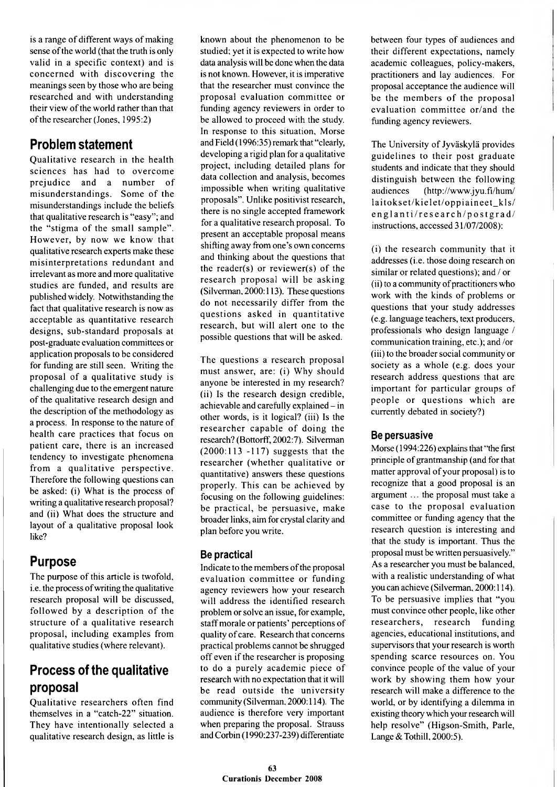is a range of different ways of making sense of the world (that the truth is only valid in a specific context) and is concerned with discovering the meanings seen by those who are being researched and with understanding their view of the world rather than that of the researcher (Jones, 1995:2)

# **Problem statement**

Qualitative research in the health sciences has had to overcome prejudice and a num ber of misunderstandings. Some of the misunderstandings include the beliefs that qualitative research is "easy"; and the "stigma of the small sample". However, by now we know that qualitative research experts make these misinterpretations redundant and irrelevant as more and more qualitative studies are funded, and results are published widely. Notwithstanding the fact that qualitative research is now as acceptable as quantitative research designs, sub-standard proposals at post-graduate evaluation committees or application proposals to be considered for funding are still seen. Writing the proposal of a qualitative study is challenging due to the emergent nature of the qualitative research design and the description of the methodology as a process. In response to the nature of health care practices that focus on patient care, there is an increased tendency to investigate phenomena from a qualitative perspective. Therefore the following questions can be asked: (i) What is the process of writing a qualitative research proposal? and (ii) What does the structure and layout of a qualitative proposal look like?

# **Purpose**

The purpose of this article is twofold, i.e. the process of writing the qualitative research proposal will be discussed, followed by a description of the structure of a qualitative research proposal, including examples from qualitative studies (where relevant).

# **Process of the qualitative proposal**

Qualitative researchers often find themselves in a "catch-22" situation. They have intentionally selected a qualitative research design, as little is known about the phenomenon to be studied; yet it is expected to write how data analysis will be done when the data is not known. However, it is imperative that the researcher must convince the proposal evaluation committee or funding agency reviewers in order to be allowed to proceed with the study. In response to this situation, Morse and Field (1996:35) remark that "clearly, developing a rigid plan for a qualitative project, including detailed plans for data collection and analysis, becomes impossible when writing qualitative proposals". Unlike positivist research, there is no single accepted framework for a qualitative research proposal. To present an acceptable proposal means shifting away from one's own concerns and thinking about the questions that the reader(s) or reviewer(s) of the research proposal will be asking (Silverman, 2000:113). These questions do not necessarily differ from the questions asked in quantitative research, but will alert one to the possible questions that will be asked.

The questions a research proposal must answer, are: (i) Why should anyone be interested in my research? (ii) Is the research design credible, achievable and carefully explained - in other words, is it logical? (iii) Is the researcher capable of doing the research? (Bottorff, 2002:7). Silverman (2000:113 -117) suggests that the researcher (whether qualitative or quantitative) answers these questions properly. This can be achieved by focusing on the following guidelines: be practical, be persuasive, make broader links, aim for crystal clarity and plan before you write.

# **Be practical**

Indicate to the members of the proposal evaluation committee or funding agency reviewers how your research will address the identified research problem or solve an issue, for example, staff morale or patients' perceptions of quality of care. Research that concerns practical problems cannot be shrugged off even if the researcher is proposing to do a purely academic piece of research with no expectation that it will be read outside the university community (Silverman, 2000:114). The audience is therefore very important when preparing the proposal. Strauss and Corbin (1990:237-239) differentiate

between four types of audiences and their different expectations, namely academic colleagues, policy-makers, practitioners and lay audiences. For proposal acceptance the audience will be the members of the proposal evaluation committee or/and the funding agency reviewers.

The University of Jyváskylá provides guidelines to their post graduate students and indicate that they should distinguish between the following audiences (<http://www.jyu.fi/hum/> laitokset/kielet/oppiaineet\_kls/ englanti/research/postgrad/ instructions, accessed 31/07/2008):

(i) the research community that it addresses (i.e. those doing research on similar or related questions); and / or (ii) to a community of practitioners who work with the kinds of problems or questions that your study addresses (e.g. language teachers, text producers, professionals who design language / communication training, etc.); and /or (iii) to the broader social community or society as a whole (e.g. does your research address questions that are important for particular groups of people or questions which are currently debated in society?)

# **Be persuasive**

Morse (1994:226) explains that "the first principle of grantmanship (and for that matter approval of your proposal) is to recognize that a good proposal is an argument ... the proposal must take a case to the proposal evaluation committee or funding agency that the research question is interesting and that the study is important. Thus the proposal must be written persuasively." As a researcher you must be balanced, with a realistic understanding of what you can achieve (Silverman, 2000:114). To be persuasive implies that "you must convince other people, like other researchers, research funding agencies, educational institutions, and supervisors that your research is worth spending scarce resources on. You convince people of the value of your work by showing them how your research will make a difference to the world, or by identifying a dilemma in existing theory which your research will help resolve" (Higson-Smith, Parle, Lange & Tothill, 2000:5).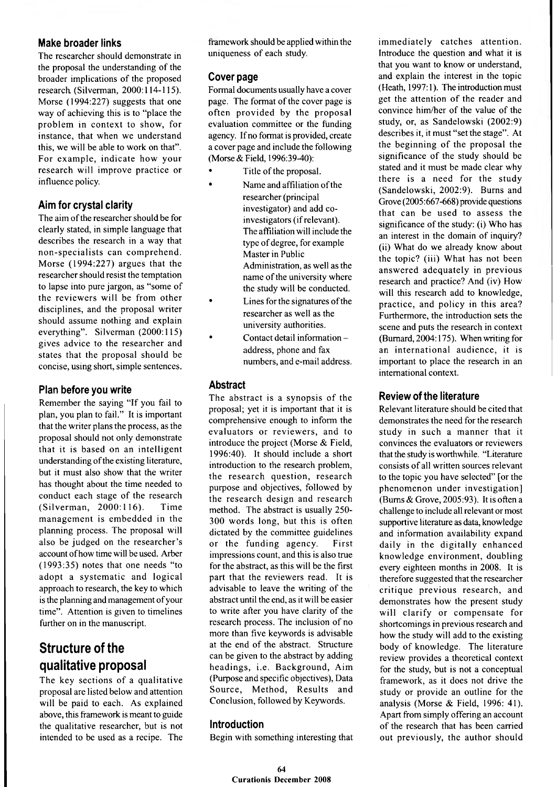#### **Make broader links**

The researcher should demonstrate in the proposal the understanding of the broader implications of the proposed research. (Silverman, 2000:114-115). Morse (1994:227) suggests that one way of achieving this is to "place the problem in context to show, for instance, that when we understand this, we will be able to work on that". For example, indicate how your research will improve practice or influence policy.

# **Aim for crystal clarity**

The aim of the researcher should be for clearly stated, in simple language that describes the research in a way that non-specialists can com prehend. Morse (1994:227) argues that the researcher should resist the temptation to lapse into pure jargon, as "some of the reviewers will be from other disciplines, and the proposal writer should assume nothing and explain everything". Silverman (2000:115) gives advice to the researcher and states that the proposal should be concise, using short, simple sentences.

# **Plan before you write**

Remember the saying "If you fail to plan, you plan to fail." It is important that the writer plans the process, as the proposal should not only demonstrate that it is based on an intelligent understanding of the existing literature, but it must also show that the writer has thought about the time needed to conduct each stage of the research (Silverman, 2000:116). Time management is embedded in the planning process. The proposal will also be judged on the researcher's account of how time will be used. Arber (1993:35) notes that one needs "to adopt a systematic and logical approach to research, the key to which is the planning and management of your time". Attention is given to timelines further on in the manuscript.

# **Structure of the qualitative proposal**

The key sections of a qualitative proposal are listed below and attention will be paid to each. As explained above, this framework is meant to guide the qualitative researcher, but is not intended to be used as a recipe. The framework should be applied within the uniqueness of each study.

# **Cover page**

Formal documents usually have a cover page. The format of the cover page is often provided by the proposal evaluation committee or the funding agency. If no format is provided, create a cover page and include the following (Morse & Field, 1996:39-40):

- Title of the proposal.
- Name and affiliation of the researcher (principal investigator) and add coinvestigators (if relevant). The affiliation will include the type of degree, for example Master in Public Administration, as well as the name of the university where the study will be conducted.
- Lines for the signatures of the researcher as well as the university authorities.
- Contact detail information address, phone and fax numbers, and e-mail address.

# **Abstract**

The abstract is a synopsis of the proposal; yet it is important that it is comprehensive enough to inform the evaluators or reviewers, and to introduce the project (Morse & Field, 1996:40). It should include a short introduction to the research problem, the research question, research purpose and objectives, followed by the research design and research method. The abstract is usually 250- 300 words long, but this is often dictated by the committee guidelines or the funding agency. First impressions count, and this is also true for the abstract, as this will be the first part that the reviewers read. It is advisable to leave the writing of the abstract until the end, as it will be easier to write after you have clarity of the research process. The inclusion of no more than five keywords is advisable at the end of the abstract. Structure can be given to the abstract by adding headings, i.e. Background, Aim (Purpose and specific objectives), Data Source, Method, Results and Conclusion, followed by Keywords.

# **Introduction**

Begin with something interesting that

immediately catches attention. Introduce the question and what it is that you want to know or understand, and explain the interest in the topic (Heath, 1997:1). The introduction must get the attention of the reader and convince him/her of the value of the study, or, as Sandelowski (2002:9) describes it, it must "set the stage". At the beginning of the proposal the significance of the study should be stated and it must be made clear why there is a need for the study (Sandelowski, 2002:9). Burns and Grove (2005:667-668) provide questions that can be used to assess the significance of the study: (i) Who has an interest in the domain of inquiry? (ii) What do we already know about the topic? (iii) What has not been answered adequately in previous research and practice? And (iv) How will this research add to knowledge, practice, and policy in this area? Furthermore, the introduction sets the scene and puts the research in context (Bumard, 2004:175). When writing for an international audience, it is important to place the research in an international context.

# **Review of the literature**

Relevant literature should be cited that demonstrates the need for the research study in such a manner that it convinces the evaluators or reviewers that the study is worthwhile. "Literature consists of all written sources relevant to the topic you have selected" [or the phenomenon under investigation] (Bums & Grove, 2005:93). It is often a challenge to include all relevant or most supportive literature as data, knowledge and information availability expand daily in the digitally enhanced knowledge environment, doubling every eighteen months in 2008. It is therefore suggested that the researcher critique previous research, and demonstrates how the present study will clarify or compensate for shortcomings in previous research and how the study will add to the existing body of knowledge. The literature review provides a theoretical context for the study, but is not a conceptual framework, as it does not drive the study or provide an outline for the analysis (Morse & Field, 1996: 41). Apart from simply offering an account of the research that has been carried out previously, the author should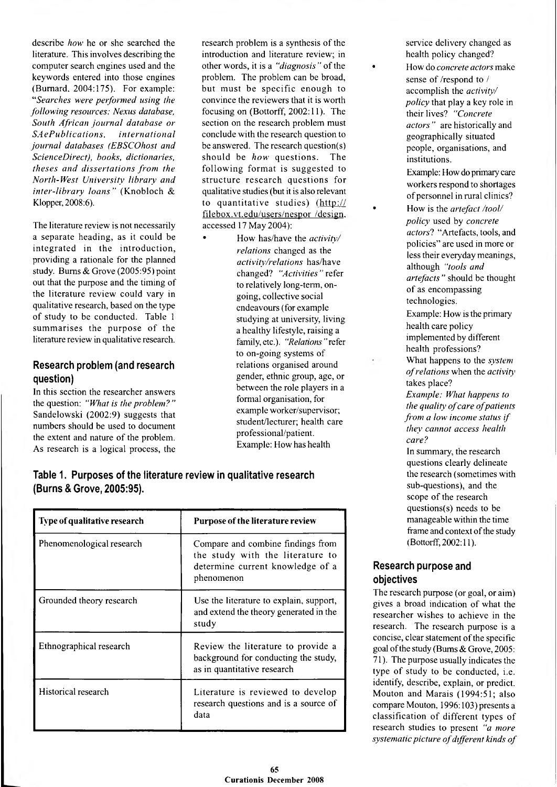describe *how* he or she searched the literature. This involves describing the computer search engines used and the keywords entered into those engines (Bumard. 2004:175). For example: *"Searches were performed using the following resources: Nexus database, South African journal database or*  $S$ *AePublications, international journal databases (EBSCOhost and ScienceDirect), books, dictionaries, theses and dissertations from the North-West University library and inter-library loans"* (Knobloch & Klopper, 2008:6).

The literature review is not necessarily a separate heading, as it could be integrated in the introduction, providing a rationale for the planned study. Bums & Grove (2005:95) point out that the purpose and the timing of the literature review could vary in qualitative research, based on the type of study to be conducted. Table 1 summarises the purpose of the literature review in qualitative research.

# **Research problem (and research question)**

In this section the researcher answers the question: *"What is the problem? "* Sandelowski (2002:9) suggests that numbers should be used to document the extent and nature of the problem. As research is a logical process, the research problem is a synthesis of the introduction and literature review; in other words, it is a *"diagnosis* " of the problem. The problem can be broad, but must be specific enough to convince the reviewers that it is worth focusing on (Bottorff, 2002:11). The section on the research problem must conclude with the research question to be answered. The research question(s) should be *how* questions. The following format is suggested to structure research questions for qualitative studies (but it is also relevant to quantitative studies) (http:// filebox.vt.edu/users/nespor /design, accessed 17 May 2004):

• How has/have the *activity/ relations* changed as the *activity/relations* has/have changed? *"Activities "* refer to relatively long-term, ongoing, collective social endeavours (for example studying at university, living a healthy lifestyle, raising a family,etc.). *"Relations"*refer to on-going systems of relations organised around gender, ethnic group, age, or between the role players in a formal organisation, for example worker/supervisor; student/lecturer; health care professional/patient. Example: How has health

### **Table 1. Purposes of the literature review in qualitative research (Burns & Grove, 2005:95).**

| Type of qualitative research | Purpose of the literature review                                                                                        |
|------------------------------|-------------------------------------------------------------------------------------------------------------------------|
| Phenomenological research    | Compare and combine findings from<br>the study with the literature to<br>determine current knowledge of a<br>phenomenon |
| Grounded theory research     | Use the literature to explain, support,<br>and extend the theory generated in the<br>study                              |
| Ethnographical research      | Review the literature to provide a<br>background for conducting the study,<br>as in quantitative research               |
| Historical research          | Literature is reviewed to develop<br>research questions and is a source of<br>data                                      |

service delivery changed as health policy changed?

• How do *concrete actors* make sense of /respond to / accomplish the *activity/ policy* that play a key role in their lives? *"Concrete actors* " are historically and geographically situated people, organisations, and institutions.

Example: How do primary care workers respond to shortages of personnel in rural clinics?

• How is the *artefact /tool/ policy* used by *concrete actors*? "Artefacts, tools, and policies" are used in more or less their everyday meanings, although "*tools and artefacts "* should be thought of as encompassing technologies.

Example: How is the primary health care policy implemented by different health professions? What happens to the *system of relations* when the *activity* takes place? *Example: What happens to the quality of care of patients from a low income status if they cannot access health care?*

In summary, the research questions clearly delineate the research (sometimes with sub-questions), and the scope of the research questions(s) needs to be manageable within the time frame and context of the study (Bottorff, 2002:11).

### **Research purpose and objectives**

The research purpose (or goal, or aim) gives a broad indication of what the researcher wishes to achieve in the research. The research purpose is a concise, clear statement of the specific goal of the study (Bums & Grove, 2005: 71). The purpose usually indicates the type of study to be conducted, i.e. identify, describe, explain, or predict. Mouton and Marais (1994:51; also compare Mouton, 1996:103) presents a classification of different types of research studies to present *"a more*  $systematic$  picture of different kinds of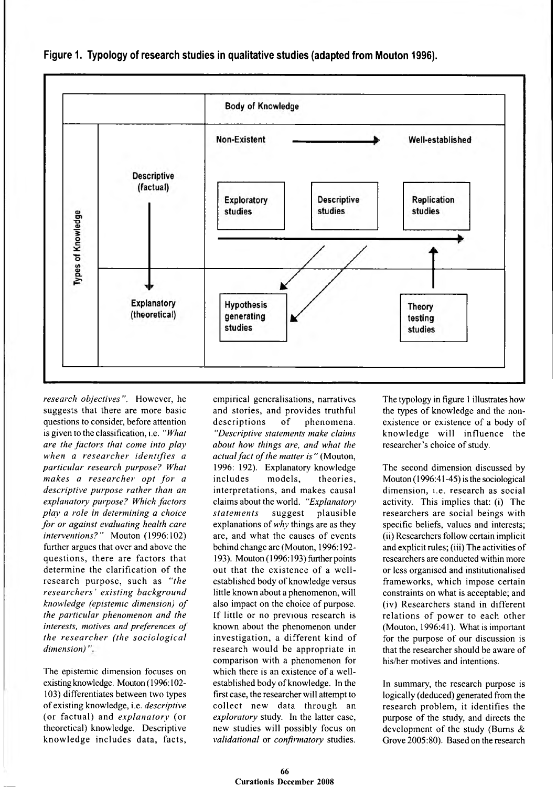

**Figure 1. Typology of research studies in qualitative studies (adapted from Mouton 1996).**

*research objectives".* However, he suggests that there are more basic questions to consider, before attention is given to the classification, i.e. " *What are the factors that come into play when a resea rch er iden tifies a particular research purpose? What makes a researcher opt for a descriptive purpose rather than an explanatory> purpose? Which factors play a role in determining a choice for or against evaluating health care interventions?"* Mouton (1996:102) further argues that over and above the questions, there are factors that determine the clarification of the research purpose, such as *"the re sea rch ers' existing background knowledge (epistemic dimension) o f the particular phenomenon and the interests, motives and preferences of the researcher (the sociological dimension)*

The epistemic dimension focuses on existing knowledge. Mouton (1996:102- 103) differentiates between two types of existing knowledge, i.e. *descriptive* (or factual) and *explanatory* (or theoretical) knowledge. Descriptive know ledge includes data, facts,

empirical generalisations, narratives and stories, and provides truthful descriptions of phenomena. *"Descriptive statements make claims about how things are, and what the actual fact of the matter is"* (Mouton, 1996: 192). Explanatory knowledge includes models, theories, interpretations, and makes causal claims about the world. *"Explanatory statem en ts* suggest plausible explanations of *why* things are as they are, and what the causes of events behind change are (Mouton, 1996:192- 193). Mouton (1996:193) further points out that the existence of a wellestablished body of knowledge versus little known about a phenomenon, will also impact on the choice of purpose. If little or no previous research is known about the phenomenon under investigation, a different kind of research would be appropriate in comparison with a phenomenon for which there is an existence of a wellestablished body of knowledge. In the first case, the researcher will attempt to collect new data through an *exploratory* study. In the latter case, new studies will possibly focus on *validational* or *confirmatory* studies.

The typology in figure 1 illustrates how the types of knowledge and the nonexistence or existence of a body of know ledge will influence the researcher's choice of study.

The second dimension discussed by Mouton (1996:41-45) is the sociological dimension, i.e. research as social activity. This implies that: (i) The researchers are social beings with specific beliefs, values and interests; (ii) Researchers follow certain implicit and explicit rules; (iii) The activities of researchers are conducted within more or less organised and institutionalised frameworks, which impose certain constraints on what is acceptable; and (iv) Researchers stand in different relations of power to each other (Mouton, 1996:41). What is important for the purpose of our discussion is that the researcher should be aware of his/her motives and intentions.

In summary, the research purpose is logically (deduced) generated from the research problem, it identifies the purpose of the study, and directs the development of the study (Bums & Grove 2005:80). Based on the research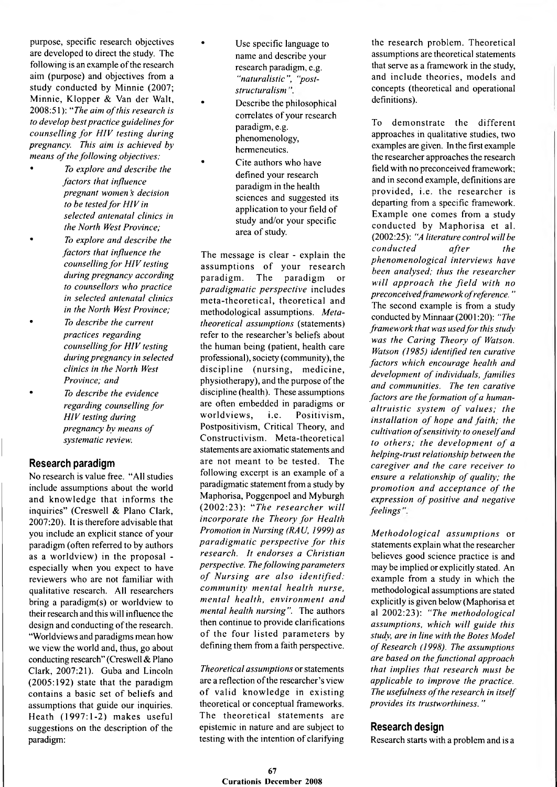purpose, specific research objectives are developed to direct the study. The following is an example of the research aim (purpose) and objectives from a study conducted by Minnie (2007; Minnie, Klopper & Van der Walt, 2008:51): "The aim of this research is *to develop best practice guidelines for counselling for HIV testing during pregnancy. This aim is achieved by means of the following objectives:* 

- *To explore and describe the factors that influence pregnant women s decision to be tested for HIV in selected antenatal clinics in the North West Province;* • *To explore and describe the factors that influence the counselling for HIV testing during pregnancy according to counsellors who practice in selected antenatal clinics in the North West Province;*
	- *To describe the current practices regarding counselling for HIV testing during pregnancy in selected clinics in the North West Province; and*
- *To describe the evidence regarding counselling for HIV testing during pregnancy by means of systematic review.*

### **Research paradigm**

No research is value free. "All studies include assumptions about the world and knowledge that informs the inquiries" (Creswell & Plano Clark, 2007:20). It is therefore advisable that you include an explicit stance of your paradigm (often referred to by authors as a worldview) in the proposal especially when you expect to have reviewers who are not familiar with qualitative research. All researchers bring a paradigm(s) or worldview to their research and this will influence the design and conducting of the research. "Worldviews and paradigms mean how we view the world and, thus, go about conducting research" (Creswell & Plano Clark, 2007:21). Guba and Lincoln (2005:192) state that the paradigm contains a basic set of beliefs and assumptions that guide our inquiries. Heath (1997:1-2) makes useful suggestions on the description of the paradigm:

- Use specific language to name and describe your research paradigm, e.g. *"naturalistic", "poststructuralism*
- Describe the philosophical correlates of your research paradigm, e.g. phenomenology, hermeneutics.
- Cite authors who have defined your research paradigm in the health sciences and suggested its application to your field of study and/or your specific area of study.

The message is clear - explain the assumptions of your research paradigm . The paradigm or *paradigm atic perspective* includes meta-theoretical, theoretical and methodological assumptions. *Metatheoretical assumptions* (statements) refer to the researcher's beliefs about the human being (patient, health care professional), society (community), the discipline (nursing, medicine, physiotherapy), and the purpose of the discipline (health). These assumptions are often embedded in paradigms or worldviews, i.e. Positivism, Postpositivism, Critical Theory, and Constructivism. Meta-theoretical statements are axiomatic statements and are not meant to be tested. The following excerpt is an example of a paradigmatic statement from a study by Maphorisa, Poggenpoel and Myburgh (2002:23): "The researcher will *incorporate the Theory for Health Promotion in Nursing (RAU, 1999) as paradigmatic perspective for this research. It endorses a Christian perspective. The following parameters* of Nursing are also identified: *community mental health nurse, m en tal health, environm ent and mental health nursing".* The authors then continue to provide clarifications of the four listed parameters by defining them from a faith perspective.

*Theoretical assumptions* or statements are a reflection of the researcher's view of valid knowledge in existing theoretical or conceptual frameworks. The theoretical statements are epistemic in nature and are subject to testing with the intention of clarifying the research problem. Theoretical assumptions are theoretical statements that serve as a framework in the study, and include theories, models and concepts (theoretical and operational definitions).

To demonstrate the different approaches in qualitative studies, two examples are given. In the first example the researcher approaches the research field with no preconceived framework; and in second example, definitions are provided, i.e. the researcher is departing from a specific framework. Example one comes from a study conducted by Maphorisa et al. (2002:25): *"A literature control will be conducted* after the *phenom enological interviews have been analysed; thus the researcher* will approach the field with no *preconceived framework ofreference.* " The second example is from a study conducted by Minnaar (2001:20): *"The framework that was usedfor this study was the Caring Theory of Watson. Watson (1985) identified ten curative factors which encourage health and development of individuals, families and communities. The ten carative factors are the formation of a humanaltruistic system of values; the installation of hope and faith; the cultivation of sensitivity to oneself and to others; the development of a helping-trust relationship between the caregiver and the care receiver to ensure a relationship of quality; the promotion and acceptance of the expression of positive and negative feelings*

*M eth o d o lo g ica l assu m ption s* or statements explain what the researcher believes good science practice is and may be implied or explicitly stated. An example from a study in which the methodological assumptions are stated explicitly is given below (Maphorisa et al 2002:23): "The methodological *assumptions, which w ill guide this study, are in line with the Botes Model* of Research (1998). The assumptions *are based on the functional approach that im plies that research must be applicable to improve the practice.* The usefulness of the research in itself *provides its trustworthiness."* 

#### **Research design**

Research starts with a problem and is a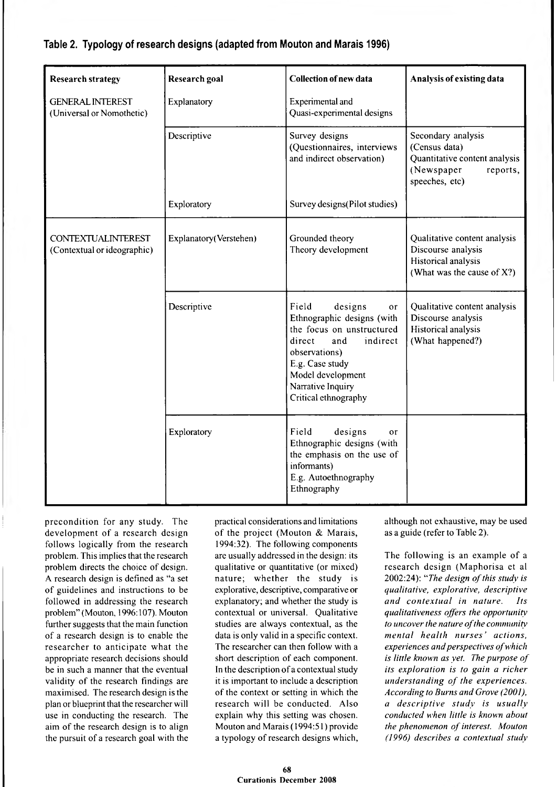# **Table 2. Typology of research designs (adapted from Mouton and Marais 1996)**

| <b>Research strategy</b>                                 | <b>Research goal</b>   | <b>Collection of new data</b>                                                                                                                                                                                                   | Analysis of existing data                                                                                        |
|----------------------------------------------------------|------------------------|---------------------------------------------------------------------------------------------------------------------------------------------------------------------------------------------------------------------------------|------------------------------------------------------------------------------------------------------------------|
| <b>GENERAL INTEREST</b><br>(Universal or Nomothetic)     | Explanatory            | Experimental and<br>Quasi-experimental designs                                                                                                                                                                                  |                                                                                                                  |
|                                                          | Descriptive            | Survey designs<br>(Questionnaires, interviews<br>and indirect observation)                                                                                                                                                      | Secondary analysis<br>(Census data)<br>Quantitative content analysis<br>(Newspaper<br>reports,<br>speeches, etc) |
|                                                          | Exploratory            | Survey designs (Pilot studies)                                                                                                                                                                                                  |                                                                                                                  |
| <b>CONTEXTUALINTEREST</b><br>(Contextual or ideographic) | Explanatory(Verstehen) | Grounded theory<br>Theory development                                                                                                                                                                                           | Qualitative content analysis<br>Discourse analysis<br>Historical analysis<br>(What was the cause of X?)          |
|                                                          | Descriptive            | Field<br>designs<br><sub>or</sub><br>Ethnographic designs (with<br>the focus on unstructured<br>direct<br>indirect<br>and<br>observations)<br>E.g. Case study<br>Model development<br>Narrative Inquiry<br>Critical ethnography | Qualitative content analysis<br>Discourse analysis<br>Historical analysis<br>(What happened?)                    |
|                                                          | Exploratory            | Field<br>designs<br>or<br>Ethnographic designs (with<br>the emphasis on the use of<br>informants)<br>E.g. Autoethnography<br>Ethnography                                                                                        |                                                                                                                  |

precondition for any study. The development of a research design follows logically from the research problem. This implies that the research problem directs the choice of design. A research design is defined as "a set of guidelines and instructions to be followed in addressing the research problem" (Mouton, 1996:107). Mouton further suggests that the main function of a research design is to enable the researcher to anticipate what the appropriate research decisions should be in such a manner that the eventual validity of the research findings are maximised. The research design is the plan or blueprint that the researcher will use in conducting the research. The aim of the research design is to align the pursuit of a research goal with the practical considerations and limitations of the project (Mouton & Marais, 1994:32). The following components are usually addressed in the design: its qualitative or quantitative (or mixed) nature; whether the study is explorative, descriptive, comparative or explanatory; and whether the study is contextual or universal. Qualitative studies are always contextual, as the data is only valid in a specific context. The researcher can then follow with a short description of each component. In the description of a contextual study it is important to include a description of the context or setting in which the research will be conducted. Also explain why this setting was chosen. Mouton and Marais (1994:51) provide a typology of research designs which, although not exhaustive, may be used as a guide (refer to Table 2).

The following is an example of a research design (Maphorisa et al 2002:24): "The design of this study is *qualitative, explorative, descriptive and con textu al in nature. Its qualitativeness offers the opportunity to uncover the nature of the community m ental health n u rse s' actions,*  $experiences and perspectives of which$ *is little known as yet. The purpose of its exploration is to gain a richer understanding of the experiences. According to Bums and Grove (2001), a descriptive study is usually conducted when little is known about the phenomenon of interest. Mouton (1996) describes a contextual study*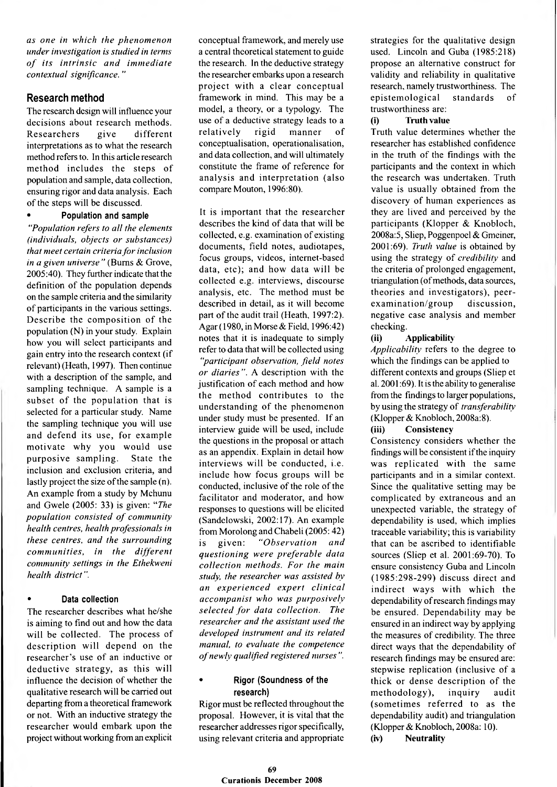*as one in which the phenomenon under investigation is studied in terms*  $of$  its intrinsic and immediate *contextual significance. "*

#### **Research method**

The research design will influence your decisions about research methods. R esearchers give different interpretations as to what the research method refers to. In this article research method includes the steps of population and sample, data collection, ensuring rigor and data analysis. Each of the steps will be discussed.

#### **• Population and sample**

*"Population refers to all the elements (individuals, objects or substances) that meet certain criteria for inclusion in a given universe"* (Bums & Grove, 2005:40). They further indicate that the definition of the population depends on the sample criteria and the similarity of participants in the various settings. Describe the composition of the population (N) in your study. Explain how you will select participants and gain entry into the research context (if relevant) (Heath, 1997). Then continue with a description of the sample, and sampling technique. A sample is a subset of the population that is selected for a particular study. Name the sampling technique you will use and defend its use, for example motivate why you would use purposive sampling. State the inclusion and exclusion criteria, and lastly project the size of the sample (n). An example from a study by Mchunu and Gwele (2005: 33) is given: "*The population consisted of community health centres, health professionals in these centres, and the surrounding communities, in the different community settings in the Ethekweni health district".*

#### **• Data collection**

The researcher describes what he/she is aiming to find out and how the data will be collected. The process of description will depend on the researcher's use of an inductive or deductive strategy, as this will influence the decision of whether the qualitative research will be carried out departing from a theoretical framework or not. With an inductive strategy the researcher would embark upon the project without working from an explicit

conceptual framework, and merely use a central theoretical statement to guide the research. In the deductive strategy the researcher embarks upon a research project with a clear conceptual framework in mind. This may be a model, a theory, or a typology. The use of a deductive strategy leads to a relatively rigid manner of conceptualisation, operationalisation, and data collection, and will ultimately constitute the frame of reference for analysis and interpretation (also compare Mouton, 1996:80).

It is important that the researcher describes the kind of data that will be collected, e.g. examination of existing documents, field notes, audiotapes, focus groups, videos, internet-based data, etc); and how data will be collected e.g. interviews, discourse analysis, etc. The method must be described in detail, as it will become part of the audit trail (Heath, 1997:2). Agar (1980, in Morse & Field, 1996:42) notes that it is inadequate to simply refer to data that will be collected using *"participant observation, field notes or diaries"*. A description with the justification of each method and how the method contributes to the understanding of the phenomenon under study must be presented. If an interview guide will be used, include the questions in the proposal or attach as an appendix. Explain in detail how interviews will be conducted, i.e. include how focus groups will be conducted, inclusive of the role of the facilitator and moderator, and how responses to questions will be elicited (Sandelowski, 2002:17). An example from Morolong and Chabeli (2005:42) is given: "Observation and *questioning w ere p refera b le data collection m ethods. F or the main study, the researcher was assisted by an ex p erien ced ex p ert clin ica l accom panist who was purposively selected for data collection. The researcher and the assistant used the developed instrument and its related manual, to evaluate the competence of newly qualified registered nurses".* 

#### **• Rigor (Soundness of the research)**

Rigor must be reflected throughout the proposal. However, it is vital that the researcher addresses rigor specifically, using relevant criteria and appropriate strategies for the qualitative design used. Lincoln and Guba (1985:218) propose an alternative construct for validity and reliability in qualitative research, namely trustworthiness. The epistemological standards of trustworthiness are:

#### **(i) Truth value**

Truth value determines whether the researcher has established confidence in the truth of the findings with the participants and the context in which the research was undertaken. Truth value is usually obtained from the discovery of human experiences as they are lived and perceived by the participants (Klopper & Knobloch, 2008a:5, Sliep, Poggenpoel & Gmeiner, 2001:69). *Truth value* is obtained by using the strategy of *credibility* and the criteria of prolonged engagement, triangulation (of methods, data sources, theories and investigators), peerexamination/group discussion, negative case analysis and member checking.

#### **(ii) Applicability**

*Applicability* refers to the degree to which the findings can be applied to different contexts and groups (Sliep et al. 2001:69). It is the ability to generalise from the findings to larger populations, by using the strategy of *transferability* (Klopper & Knobloch, 2008a:8).

#### **(iii) Consistency**

Consistency considers whether the findings will be consistent if the inquiry was replicated with the same participants and in a similar context. Since the qualitative setting may be complicated by extraneous and an unexpected variable, the strategy of dependability is used, which implies traceable variability; this is variability that can be ascribed to identifiable sources (Sliep et al. 2001:69-70). To ensure consistency Guba and Lincoln (1985:298-299) discuss direct and indirect ways with which the dependability of research findings may be ensured. Dependability may be ensured in an indirect way by applying the measures of credibility. The three direct ways that the dependability of research findings may be ensured are: stepwise replication (inclusive of a thick or dense description of the methodology), inquiry audit (sometimes referred to as the dependability audit) and triangulation (Klopper & Knobloch, 2008a: 10).

**(iv) Neutrality**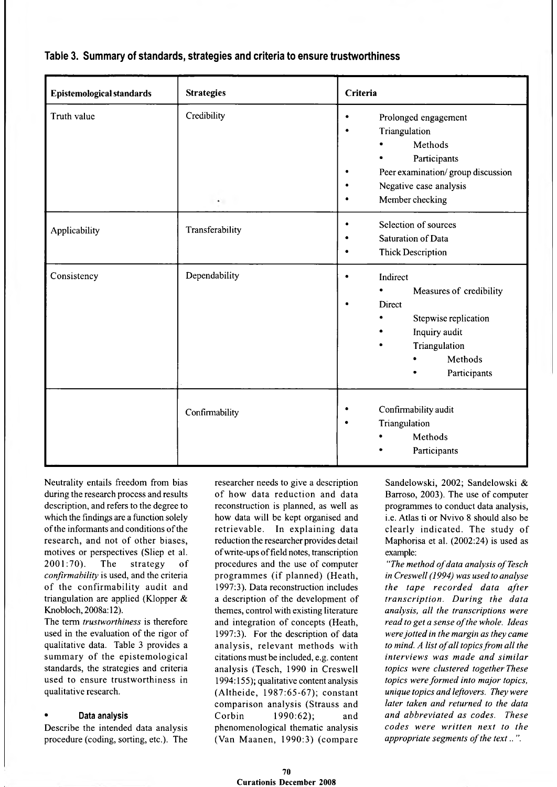| Epistemological standards | <b>Strategies</b>                   | Criteria                                                                                                                                                                               |  |
|---------------------------|-------------------------------------|----------------------------------------------------------------------------------------------------------------------------------------------------------------------------------------|--|
| Truth value               | Credibility<br>$\ddot{\phantom{0}}$ | Prolonged engagement<br>$\bullet$<br>Triangulation<br>$\bullet$<br>Methods<br>Participants<br>Peer examination/group discussion<br>Negative case analysis<br>٠<br>Member checking<br>٠ |  |
| Applicability             | Transferability                     | Selection of sources<br>$\bullet$<br><b>Saturation of Data</b><br>$\bullet$<br><b>Thick Description</b><br>٠                                                                           |  |
| Consistency               | Dependability                       | Indirect<br>$\bullet$<br>Measures of credibility<br>Direct<br>$\bullet$<br>Stepwise replication<br>Inquiry audit<br>Triangulation<br>Methods<br>Participants                           |  |
|                           | Confirmability                      | Confirmability audit<br>٠<br>Triangulation<br>$\bullet$<br>Methods<br>Participants                                                                                                     |  |

### **Table 3. Summary of standards, strategies and criteria to ensure trustworthiness**

Neutrality entails freedom from bias during the research process and results description, and refers to the degree to which the findings are a function solely of the informants and conditions of the research, and not of other biases, motives or perspectives (Sliep et al. 2001:70). The strategy of *confirmability* is used, and the criteria of the confirmability audit and triangulation are applied (Klopper & Knobloch, 2008a: 12).

The term *trustworthiness* is therefore used in the evaluation of the rigor of qualitative data. Table 3 provides a summary of the epistemological standards, the strategies and criteria used to ensure trustworthiness in qualitative research.

#### **• Data analysis**

Describe the intended data analysis procedure (coding, sorting, etc.). The

researcher needs to give a description of how data reduction and data reconstruction is planned, as well as how data will be kept organised and retrievable. In explaining data reduction the researcher provides detail of write-ups of field notes, transcription procedures and the use of computer programmes (if planned) (Heath, 1997:3). Data reconstruction includes a description of the development of themes, control with existing literature and integration of concepts (Heath, 1997:3). For the description of data analysis, relevant methods with citations must be included, e.g. content analysis (Tesch, 1990 in Creswell 1994:155); qualitative content analysis (A ltheide, 1987:65-67); constant comparison analysis (Strauss and Corbin 1990:62); and phenomenological thematic analysis (Van Maanen, 1990:3) (compare

Sandelowski, 2002; Sandelowski & Barroso, 2003). The use of computer programmes to conduct data analysis, i.e. Atlas ti or Nvivo 8 should also be clearly indicated. The study of Maphorisa et al. (2002:24) is used as example:

*"The method o f data analysis o f Tesch in Creswell (1994) was used to analyse the tape rec o rd e d data after tran scrip tio n . D uring the data analysis, all the transcriptions were*  $read to get a sense of the whole. Ideas$ *were jotted in the margin as they came to mind. A list of all topics from all the interviews was made and similar topics were clustered together. These topics were form ed into major topics, unique topics and leftovers. They were later taken and returned to the data and abbreviated as codes. These codes w ere w ritten next to the appropriate segments of the text..".*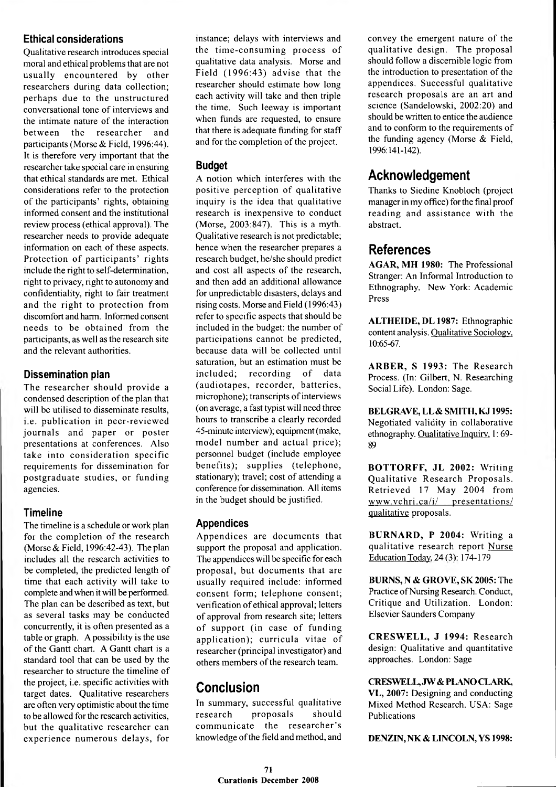### **Ethical considerations**

Qualitative research introduces special moral and ethical problems that are not usually encountered by other researchers during data collection; perhaps due to the unstructured conversational tone of interviews and the intimate nature of the interaction between the researcher and participants (Morse & Field, 1996:44). It is therefore very important that the researcher take special care in ensuring that ethical standards are met. Ethical considerations refer to the protection of the participants' rights, obtaining informed consent and the institutional review process (ethical approval). The researcher needs to provide adequate information on each of these aspects. Protection of participants' rights include the right to self-determination, right to privacy, right to autonomy and confidentiality, right to fair treatment and the right to protection from discomfort and harm. Informed consent needs to be obtained from the participants, as well as the research site and the relevant authorities.

### **Dissemination plan**

The researcher should provide a condensed description of the plan that will be utilised to disseminate results, i.e. publication in peer-reviewed journals and paper or poster presentations at conferences. Also take into consideration specific requirements for dissemination for postgraduate studies, or funding agencies.

### **Timeline**

The timeline is a schedule or work plan for the completion of the research (Morse  $&$  Field, 1996:42-43). The plan includes all the research activities to be completed, the predicted length of time that each activity will take to complete and when it will be performed. The plan can be described as text, but as several tasks may be conducted concurrently, it is often presented as a table or graph. A possibility is the use of the Gantt chart. A Gantt chart is a standard tool that can be used by the researcher to structure the timeline of the project, i.e. specific activities with target dates. Qualitative researchers are often very optimistic about the time to be allowed for the research activities, but the qualitative researcher can experience numerous delays, for

instance; delays with interviews and the time-consuming process of qualitative data analysis. Morse and Field (1996:43) advise that the researcher should estimate how long each activity will take and then triple the time. Such leeway is important when funds are requested, to ensure that there is adequate funding for staff and for the completion of the project.

### **Budget**

A notion which interferes with the positive perception of qualitative inquiry is the idea that qualitative research is inexpensive to conduct (Morse, 2003:847). This is a myth. Qualitative research is not predictable; hence when the researcher prepares a research budget, he/she should predict and cost all aspects of the research, and then add an additional allowance for unpredictable disasters, delays and rising costs. Morse and Field (1996:43) refer to specific aspects that should be included in the budget: the number of participations cannot be predicted, because data will be collected until saturation, but an estimation must be included; recording of data (audiotapes, recorder, batteries, microphone); transcripts of interviews (on average, a fast typist will need three hours to transcribe a clearly recorded 45-minute interview); equipment (make, model number and actual price); personnel budget (include employee benefits); supplies (telephone, stationary); travel; cost of attending a conference for dissemination. All items in the budget should be justified.

# **Appendices**

Appendices are documents that support the proposal and application. The appendices will be specific for each proposal, but documents that are usually required include: informed consent form; telephone consent; verification of ethical approval; letters of approval from research site; letters of support (in case of funding application); curricula vitae of researcher (principal investigator) and others members of the research team.

# **Conclusion**

In summary, successful qualitative research proposals should communicate the researcher's knowledge of the field and method, and

convey the emergent nature of the qualitative design. The proposal should follow a discernible logic from the introduction to presentation of the appendices. Successful qualitative research proposals are an art and science (Sandelowski, 2002:20) and should be written to entice the audience and to conform to the requirements of the funding agency (Morse & Field, 1996:141-142).

# **Acknowledgement**

Thanks to Siedine Knobloch (project manager in my office) for the final proof reading and assistance with the abstract.

# **References**

**AGAR, MH 1980:** The Professional Stranger: An Informal Introduction to Ethnography. New York: Academic Press

**ALTHEIDE, DL 1987: Ethnographic** content analysis. Qualitative Sociology. 10:65-67.

ARBER, S 1993: The Research Process. (In: Gilbert, N. Researching Social Life). London: Sage.

BELGRAVE, LL & SMITH, KJ 1995: Negotiated validity in collaborative ethnography. Qualitative Inquiry. 1:69- 89

**BOTTORFF, JL 2002: Writing** Qualitative Research Proposals. R etrieved 17 May 2004 from www.vchri.ca/i/ presentations/ qualitative proposals.

**BURNARD, P 2004: Writing a** qualitative research report Nurse Education Today. 24 **(3):** 174-179

**BURNS, N & GROVE, SK 2005:** The Practice of Nursing Research. Conduct, Critique and Utilization. London: Elsevier Saunders Company

**CRESW ELL, J 1994:** R esearch design: Qualitative and quantitative approaches. London: Sage

**CRESWELL, JW & PLANO CLARK,**

**VL, 2007:** Designing and conducting Mixed Method Research. USA: Sage Publications

**DENZIN, NK & LINCOLN, YS 1998:**